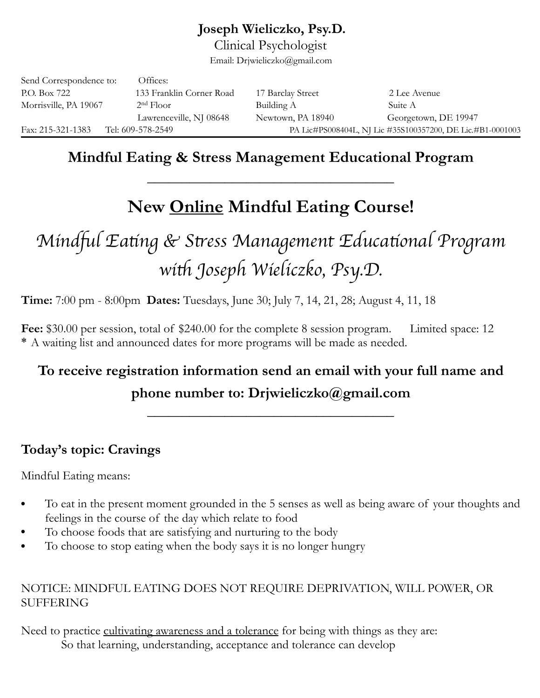### **Joseph Wieliczko, Psy.D.**

Clinical Psychologist

Email: Drjwieliczko@gmail.com

| Send Correspondence to: | Offices:                 |                   |                                                            |
|-------------------------|--------------------------|-------------------|------------------------------------------------------------|
| P.O. Box 722            | 133 Franklin Corner Road | 17 Barclay Street | 2 Lee Avenue                                               |
| Morrisville, PA 19067   | 2 <sup>nd</sup> Floor    | Building A        | Suite A                                                    |
|                         | Lawrenceville, NJ 08648  | Newtown, PA 18940 | Georgetown, DE 19947                                       |
| Fax: 215-321-1383       | Tel: 609-578-2549        |                   | PA Lic#PS008404L, NJ Lic #35S100357200, DE Lic.#B1-0001003 |

### **Mindful Eating & Stress Management Educational Program**

**\_\_\_\_\_\_\_\_\_\_\_\_\_\_\_\_\_\_\_\_\_\_\_\_\_\_\_\_\_\_\_\_\_\_\_**

# **New Online Mindful Eating Course!**

# *Mind*f*l Ea*t*ng & S*t*ess Management Educa*t*onal Program wi*t *Joseph Wieliczko, Psy.D.*

**Time:** 7:00 pm - 8:00pm **Dates:** Tuesdays, June 30; July 7, 14, 21, 28; August 4, 11, 18

**Fee:** \$30.00 per session, total of \$240.00 for the complete 8 session program. Limited space: 12 \* A waiting list and announced dates for more programs will be made as needed.

## **To receive registration information send an email with your full name and**  phone number to: Drjwieliczko@gmail.com

### **Today's topic: Cravings**

Mindful Eating means:

- **•** To eat in the present moment grounded in the 5 senses as well as being aware of your thoughts and feelings in the course of the day which relate to food
- **•** To choose foods that are satisfying and nurturing to the body
- To choose to stop eating when the body says it is no longer hungry

### NOTICE: MINDFUL EATING DOES NOT REQUIRE DEPRIVATION, WILL POWER, OR **SUFFERING**

Need to practice cultivating awareness and a tolerance for being with things as they are: So that learning, understanding, acceptance and tolerance can develop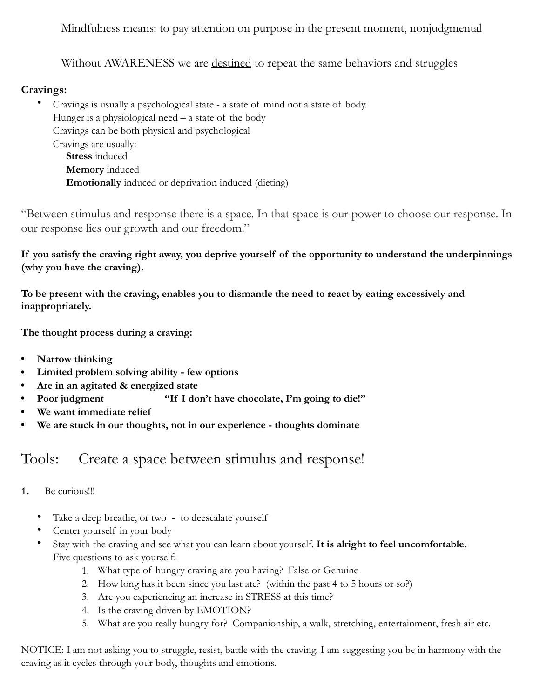Mindfulness means: to pay attention on purpose in the present moment, nonjudgmental

Without AWARENESS we are destined to repeat the same behaviors and struggles

### **Cravings:**

• Cravings is usually a psychological state - a state of mind not a state of body. Hunger is a physiological need – a state of the body Cravings can be both physical and psychological Cravings are usually: **Stress** induced **Memory** induced **Emotionally** induced or deprivation induced (dieting)

"Between stimulus and response there is a space. In that space is our power to choose our response. In our response lies our growth and our freedom."

**If you satisfy the craving right away, you deprive yourself of the opportunity to understand the underpinnings (why you have the craving).** 

**To be present with the craving, enables you to dismantle the need to react by eating excessively and inappropriately.** 

**The thought process during a craving:** 

- **• Narrow thinking**
- **• Limited problem solving ability few options**
- **• Are in an agitated & energized state**
- Poor judgment "If I don't have chocolate, I'm going to die!"
- **• We want immediate relief**
- **• We are stuck in our thoughts, not in our experience thoughts dominate**

### Tools: Create a space between stimulus and response!

- 1. Be curious!!!
	- Take a deep breathe, or two to deescalate yourself
	- Center yourself in your body
	- Stay with the craving and see what you can learn about yourself. **It is alright to feel uncomfortable.**  Five questions to ask yourself:
		- 1. What type of hungry craving are you having? False or Genuine
		- 2. How long has it been since you last ate? (within the past 4 to 5 hours or so?)
		- 3. Are you experiencing an increase in STRESS at this time?
		- 4. Is the craving driven by EMOTION?
		- 5. What are you really hungry for? Companionship, a walk, stretching, entertainment, fresh air etc.

NOTICE: I am not asking you to struggle, resist, battle with the craving. I am suggesting you be in harmony with the craving as it cycles through your body, thoughts and emotions.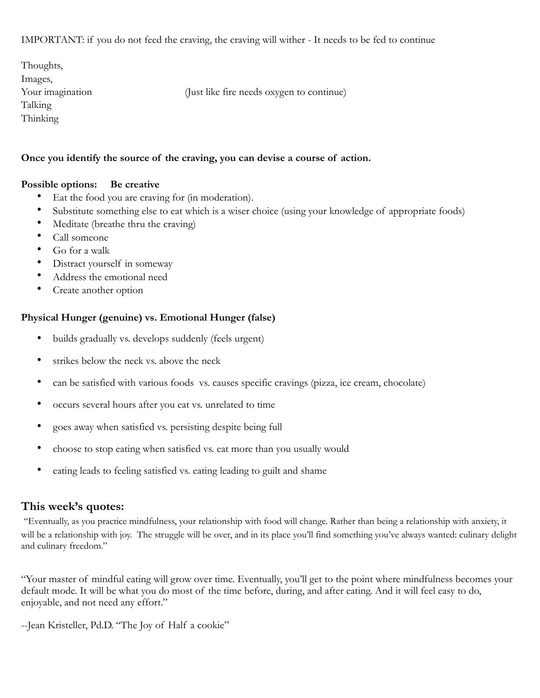#### IMPORTANT: if you do not feed the craving, the craving will wither - It needs to be fed to continue

Thoughts, Images, Talking Thinking

Your imagination (Just like fire needs oxygen to continue)

#### **Once you identify the source of the craving, you can devise a course of action.**

#### **Possible options: Be creative**

- Eat the food you are craving for (in moderation).
- Substitute something else to eat which is a wiser choice (using your knowledge of appropriate foods)
- Meditate (breathe thru the craving)
- Call someone
- Go for a walk
- Distract yourself in someway
- Address the emotional need
- Create another option

#### **Physical Hunger (genuine) vs. Emotional Hunger (false)**

- builds gradually vs. develops suddenly (feels urgent)
- strikes below the neck vs. above the neck
- can be satisfied with various foods vs. causes specific cravings (pizza, ice cream, chocolate)
- occurs several hours after you eat vs. unrelated to time
- goes away when satisfied vs. persisting despite being full
- choose to stop eating when satisfied vs. eat more than you usually would
- eating leads to feeling satisfied vs. eating leading to guilt and shame

#### **This week's quotes:**

"Eventually, as you practice mindfulness, your relationship with food will change. Rather than being a relationship with anxiety, it will be a relationship with joy. The struggle will be over, and in its place you'll find something you've always wanted: culinary delight and culinary freedom."

"Your master of mindful eating will grow over time. Eventually, you'll get to the point where mindfulness becomes your default mode. It will be what you do most of the time before, during, and after eating. And it will feel easy to do, enjoyable, and not need any effort."

--Jean Kristeller, Pd.D. "The Joy of Half a cookie"